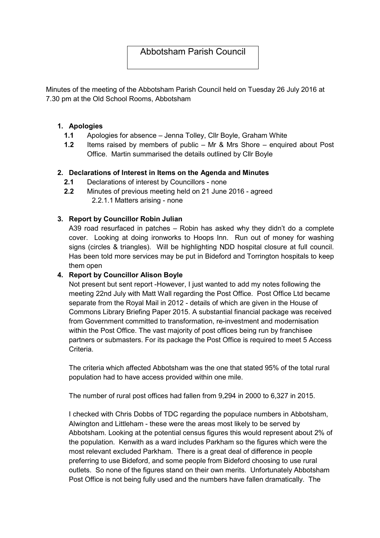# Abbotsham Parish Council

Minutes of the meeting of the Abbotsham Parish Council held on Tuesday 26 July 2016 at 7.30 pm at the Old School Rooms, Abbotsham

### 1. Apologies

- 1.1 Apologies for absence Jenna Tolley, Cllr Boyle, Graham White
- 1.2 Items raised by members of public Mr & Mrs Shore enquired about Post Office. Martin summarised the details outlined by Cllr Boyle

### 2. Declarations of Interest in Items on the Agenda and Minutes

- 2.1 Declarations of interest by Councillors none
- 2.2 Minutes of previous meeting held on 21 June 2016 agreed 2.2.1.1 Matters arising - none

### 3. Report by Councillor Robin Julian

A39 road resurfaced in patches – Robin has asked why they didn't do a complete cover. Looking at doing ironworks to Hoops Inn. Run out of money for washing signs (circles & triangles). Will be highlighting NDD hospital closure at full council. Has been told more services may be put in Bideford and Torrington hospitals to keep them open

#### 4. Report by Councillor Alison Boyle

Not present but sent report -However, I just wanted to add my notes following the meeting 22nd July with Matt Wall regarding the Post Office. Post Office Ltd became separate from the Royal Mail in 2012 - details of which are given in the House of Commons Library Briefing Paper 2015. A substantial financial package was received from Government committed to transformation, re-investment and modernisation within the Post Office. The vast majority of post offices being run by franchisee partners or submasters. For its package the Post Office is required to meet 5 Access Criteria.

The criteria which affected Abbotsham was the one that stated 95% of the total rural population had to have access provided within one mile.

The number of rural post offices had fallen from 9,294 in 2000 to 6,327 in 2015.

I checked with Chris Dobbs of TDC regarding the populace numbers in Abbotsham, Alwington and Littleham - these were the areas most likely to be served by Abbotsham. Looking at the potential census figures this would represent about 2% of the population. Kenwith as a ward includes Parkham so the figures which were the most relevant excluded Parkham. There is a great deal of difference in people preferring to use Bideford, and some people from Bideford choosing to use rural outlets. So none of the figures stand on their own merits. Unfortunately Abbotsham Post Office is not being fully used and the numbers have fallen dramatically. The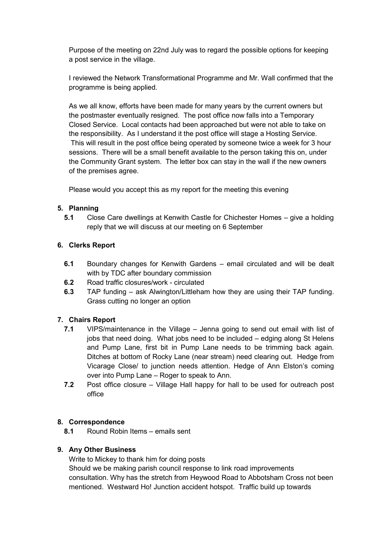Purpose of the meeting on 22nd July was to regard the possible options for keeping a post service in the village.

I reviewed the Network Transformational Programme and Mr. Wall confirmed that the programme is being applied.

As we all know, efforts have been made for many years by the current owners but the postmaster eventually resigned. The post office now falls into a Temporary Closed Service. Local contacts had been approached but were not able to take on the responsibility. As I understand it the post office will stage a Hosting Service. This will result in the post office being operated by someone twice a week for 3 hour sessions. There will be a small benefit available to the person taking this on, under the Community Grant system. The letter box can stay in the wall if the new owners of the premises agree.

Please would you accept this as my report for the meeting this evening

### 5. Planning

5.1 Close Care dwellings at Kenwith Castle for Chichester Homes – give a holding reply that we will discuss at our meeting on 6 September

# 6. Clerks Report

- 6.1 Boundary changes for Kenwith Gardens email circulated and will be dealt with by TDC after boundary commission
- 6.2 Road traffic closures/work circulated
- 6.3 TAP funding ask Alwington/Littleham how they are using their TAP funding. Grass cutting no longer an option

# 7. Chairs Report

- 7.1 VIPS/maintenance in the Village Jenna going to send out email with list of jobs that need doing. What jobs need to be included – edging along St Helens and Pump Lane, first bit in Pump Lane needs to be trimming back again. Ditches at bottom of Rocky Lane (near stream) need clearing out. Hedge from Vicarage Close/ to junction needs attention. Hedge of Ann Elston's coming over into Pump Lane – Roger to speak to Ann.
- 7.2 Post office closure Village Hall happy for hall to be used for outreach post office

#### 8. Correspondence

8.1 Round Robin Items – emails sent

#### 9. Any Other Business

Write to Mickey to thank him for doing posts

Should we be making parish council response to link road improvements consultation. Why has the stretch from Heywood Road to Abbotsham Cross not been mentioned. Westward Ho! Junction accident hotspot. Traffic build up towards